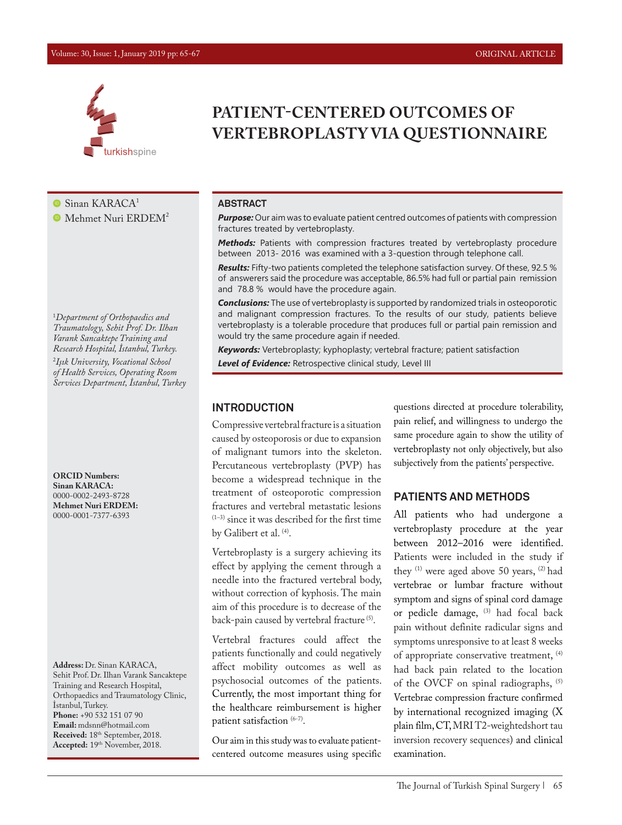#### Volume: 30, Issue: 1, January 2019 pp: 65-67 ORIGINAL ARTICLE



 $\bullet$  Sinan KARACA<sup>1</sup>

 $\bullet$  Mehmet Nuri ERDEM<sup>2</sup>

1 *Department of Orthopaedics and Traumatology, Sehit Prof. Dr. Ilhan Varank Sancaktepe Training and Research Hospital, İstanbul, Turkey.*  2 *Işık University, Vocational School of Health Services, Operating Room* 

*Services Department, İstanbul, Turkey*

**ORCID Numbers: Sinan KARACA:** 0000-0002-2493-8728 **Mehmet Nuri ERDEM:** 0000-0001-7377-6393

**Address:** Dr. Sinan KARACA, Sehit Prof. Dr. Ilhan Varank Sancaktepe Training and Research Hospital, Orthopaedics and Traumatology Clinic, İstanbul, Turkey. **Phone:** +90 532 151 07 90 **Email:** mdsnn@hotmail.com **Received:** 18th September, 2018. **Accepted:** 19th November, 2018.

# **PATIENT-CENTERED OUTCOMES OF VERTEBROPLASTY VIA QUESTIONNAIRE**

#### **ABSTRACT**

*Purpose:* Our aim was to evaluate patient centred outcomes of patients with compression fractures treated by vertebroplasty.

*Methods:* Patients with compression fractures treated by vertebroplasty procedure between 2013- 2016 was examined with a 3-question through telephone call.

*Results:* Fifty-two patients completed the telephone satisfaction survey. Of these, 92.5 % of answerers said the procedure was acceptable, 86.5% had full or partial pain remission and 78.8 % would have the procedure again.

*Conclusions:* The use of vertebroplasty is supported by randomized trials in osteoporotic and malignant compression fractures. To the results of our study, patients believe vertebroplasty is a tolerable procedure that produces full or partial pain remission and would try the same procedure again if needed.

*Keywords:* Vertebroplasty; kyphoplasty; vertebral fracture; patient satisfaction *Level of Evidence:* Retrospective clinical study, Level III

#### **INTRODUCTION**

Compressive vertebral fracture is a situation caused by osteoporosis or due to expansion of malignant tumors into the skeleton. Percutaneous vertebroplasty (PVP) has become a widespread technique in the treatment of osteoporotic compression fractures and vertebral metastatic lesions  $(1-3)$  since it was described for the first time by Galibert et al. <sup>(4)</sup>.

Vertebroplasty is a surgery achieving its effect by applying the cement through a needle into the fractured vertebral body, without correction of kyphosis. The main aim of this procedure is to decrease of the back-pain caused by vertebral fracture<sup>(5)</sup>.

Vertebral fractures could affect the patients functionally and could negatively affect mobility outcomes as well as psychosocial outcomes of the patients. Currently, the most important thing for the healthcare reimbursement is higher patient satisfaction (6-7).

Our aim in this study was to evaluate patientcentered outcome measures using specific questions directed at procedure tolerability, pain relief, and willingness to undergo the same procedure again to show the utility of vertebroplasty not only objectively, but also subjectively from the patients' perspective.

## **PATIENTS AND METHODS**

All patients who had undergone a vertebroplasty procedure at the year between 2012–2016 were identified. Patients were included in the study if they (1) were aged above 50 years, (2) had vertebrae or lumbar fracture without symptom and signs of spinal cord damage or pedicle damage, (3) had focal back pain without definite radicular signs and symptoms unresponsive to at least 8 weeks of appropriate conservative treatment, (4) had back pain related to the location of the OVCF on spinal radiographs, (5) Vertebrae compression fracture confirmed by international recognized imaging (X plain film, CT, MRI T2-weightedshort tau inversion recovery sequences) and clinical examination.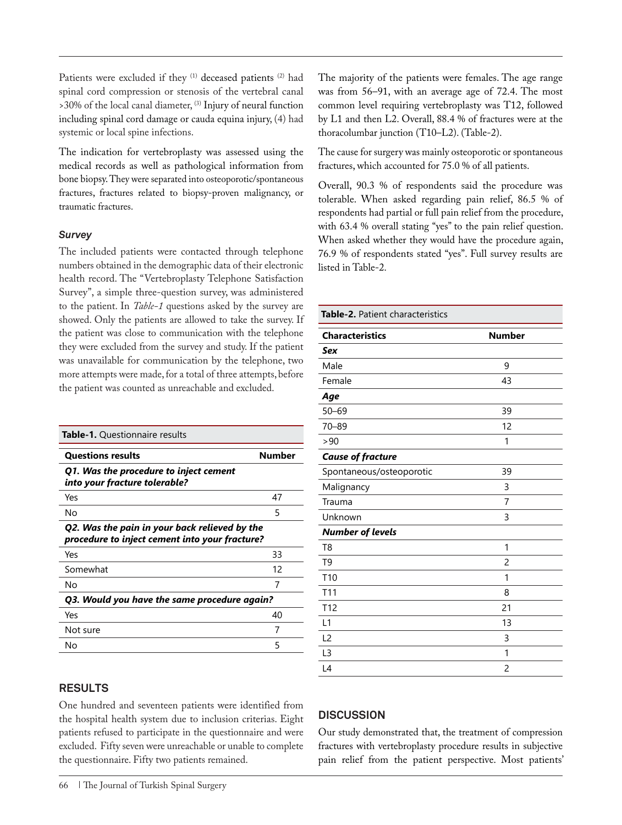Patients were excluded if they (1) deceased patients (2) had spinal cord compression or stenosis of the vertebral canal >30% of the local canal diameter, (3) Injury of neural function including spinal cord damage or cauda equina injury, (4) had systemic or local spine infections.

The indication for vertebroplasty was assessed using the medical records as well as pathological information from bone biopsy. They were separated into osteoporotic/spontaneous fractures, fractures related to biopsy-proven malignancy, or traumatic fractures.

#### *Survey*

The included patients were contacted through telephone numbers obtained in the demographic data of their electronic health record. The "Vertebroplasty Telephone Satisfaction Survey", a simple three-question survey, was administered to the patient. In *Table-1* questions asked by the survey are showed. Only the patients are allowed to take the survey. If the patient was close to communication with the telephone they were excluded from the survey and study. If the patient was unavailable for communication by the telephone, two more attempts were made, for a total of three attempts, before the patient was counted as unreachable and excluded.

| <b>Table-1.</b> Questionnaire results                                                           |        |  |
|-------------------------------------------------------------------------------------------------|--------|--|
| <b>Questions results</b>                                                                        | Number |  |
| Q1. Was the procedure to inject cement<br>into your fracture tolerable?                         |        |  |
| Yes                                                                                             | 47     |  |
| No                                                                                              | 5      |  |
| Q2. Was the pain in your back relieved by the<br>procedure to inject cement into your fracture? |        |  |
| Yes                                                                                             | 33     |  |
| Somewhat                                                                                        | 12     |  |
| No                                                                                              | 7      |  |
| Q3. Would you have the same procedure again?                                                    |        |  |
| Yes                                                                                             | 40     |  |
| Not sure                                                                                        | 7      |  |
| No                                                                                              | 5      |  |

## **RESULTS**

One hundred and seventeen patients were identified from the hospital health system due to inclusion criterias. Eight patients refused to participate in the questionnaire and were excluded. Fifty seven were unreachable or unable to complete the questionnaire. Fifty two patients remained.

66 | The Journal of Turkish Spinal Surgery

The majority of the patients were females. The age range was from 56–91, with an average age of 72.4. The most common level requiring vertebroplasty was T12, followed by L1 and then L2. Overall, 88.4 % of fractures were at the thoracolumbar junction (T10–L2). (Table-2).

The cause for surgery was mainly osteoporotic or spontaneous fractures, which accounted for 75.0 % of all patients.

Overall, 90.3 % of respondents said the procedure was tolerable. When asked regarding pain relief, 86.5 % of respondents had partial or full pain relief from the procedure, with 63.4 % overall stating "yes" to the pain relief question. When asked whether they would have the procedure again, 76.9 % of respondents stated "yes". Full survey results are listed in Table-2.

# **Characteristics Mumber Number** *Sex*  Male 9 Female 43 *Age*  50–69 39 70–89 12  $>90$  1 *Cause of fracture*  Spontaneous/osteoporotic 39 Malignancy 3 Trauma 7

**Table-2.** Patient characteristics

| Unknown                 | 3  |
|-------------------------|----|
| <b>Number of levels</b> |    |
| T <sub>8</sub>          | 1  |
| T <sub>9</sub>          | 2  |
| T <sub>10</sub>         | 1  |
| T <sub>11</sub>         | 8  |
| T12                     | 21 |
| L1                      | 13 |
| L <sub>2</sub>          | 3  |
| L3                      | 1  |
| L4                      | 2  |

## **DISCUSSION**

Our study demonstrated that, the treatment of compression fractures with vertebroplasty procedure results in subjective pain relief from the patient perspective. Most patients'